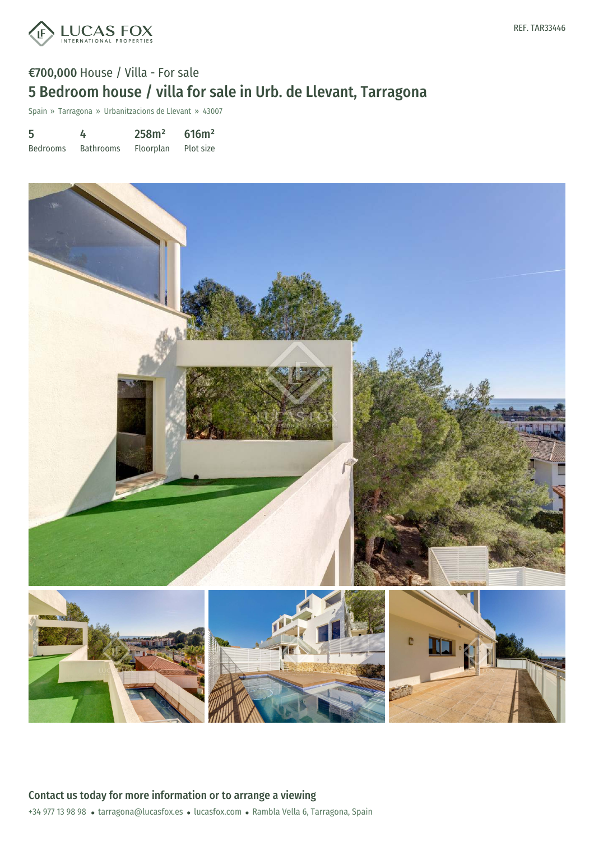

# €700,000 House / Villa - For sale 5 Bedroom house / villa for sale in Urb. de Llevant, Tarragona

Spain » Tarragona » Urbanitzacions de Llevant » 43007

| 5               | 4                | 258m <sup>2</sup> | 616m <sup>2</sup> |
|-----------------|------------------|-------------------|-------------------|
| <b>Bedrooms</b> | <b>Bathrooms</b> | <b>Floorplan</b>  | Plot size         |

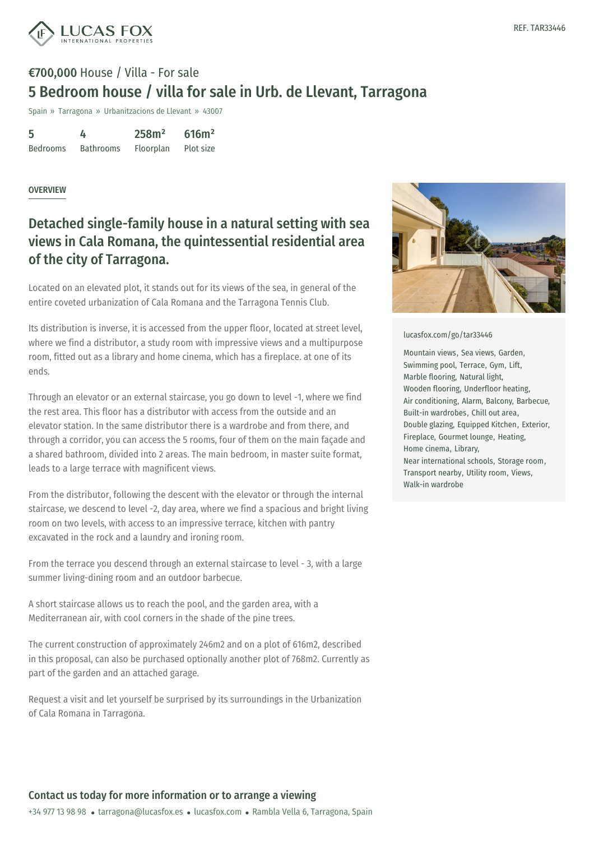

# €700,000 House / Villa - For sale 5 Bedroom house / villa for sale in Urb. de Llevant, Tarragona

Spain » Tarragona » Urbanitzacions de Llevant » 43007

| 5               | 4                | 258m <sup>2</sup> | 616m <sup>2</sup> |
|-----------------|------------------|-------------------|-------------------|
| <b>Bedrooms</b> | <b>Bathrooms</b> | Floorplan         | Plot size         |

#### **OVERVIEW**

#### Detached single-family house in a natural setting with sea views in Cala Romana, the quintessential residential area of the city of Tarragona.

Located on an elevated plot, it stands out for its views of the sea, in general of the entire coveted urbanization of Cala Romana and the Tarragona Tennis Club.

Its distribution is inverse, it is accessed from the upper floor, located at street level, where we find a distributor, a study room with impressive views and a multipurpose room, fitted out as a library and home cinema, which has a fireplace. at one of its ends.

Through an elevator or an external staircase, you go down to level -1, where we find the rest area. This floor has a distributor with access from the outside and an elevator station. In the same distributor there is a wardrobe and from there, and through a corridor, you can access the 5 rooms, four of them on the main façade and a shared bathroom, divided into 2 areas. The main bedroom, in master suite format, leads to a large terrace with magnificent views.

From the distributor, following the descent with the elevator or through the internal staircase, we descend to level -2, day area, where we find a spacious and bright living room on two levels, with access to an impressive terrace, kitchen with pantry excavated in the rock and a laundry and ironing room.

From the terrace you descend through an external staircase to level - 3, with a large summer living-dining room and an outdoor barbecue.

A short staircase allows us to reach the pool, and the garden area, with a Mediterranean air, with cool [corners](mailto:tarragona@lucasfox.es) in the [shade](https://www.lucasfox.com) of the pine trees.

The current construction of approximately 246m2 and on a plot of 616m2, described in this proposal, can also be purchased optionally another plot of 768m2. Currently as part of the garden and an attached garage.

Request a visit and let yourself be surprised by its surroundings in the Urbanization of Cala Romana in Tarragona.



#### [lucasfox.com/go/tar33446](https://www.lucasfox.com/go/tar33446)

Mountain views, Sea views, Garden, Swimming pool, Terrace, Gym, Lift, Marble flooring, Natural light, Wooden flooring, Underfloor heating, Air conditioning, Alarm, Balcony, Barbecue, Built-in wardrobes, Chill out area, Double glazing, Equipped Kitchen, Exterior, Fireplace, Gourmet lounge, Heating, Home cinema, Library, Near international schools, Storage room, Transport nearby, Utility room, Views, Walk-in wardrobe

#### Contact us today for more information or to arrange a viewing

+34 977 13 98 98 · tarragona@lucasfox.es · lucasfox.com · Rambla Vella 6, Tarragona, Spain